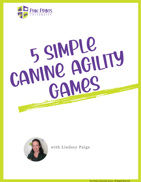

# 5 SIMPLE CANINE AGILITY GAMES



with Lindsey Paige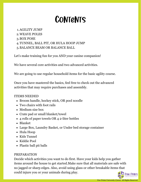### **CONTENTS**

- AGILITY JUMP 1.
- WEAVE POLES 2.
- BOX POSE 3.
- TUNNEL, BALL PIT, OR HULA HOOP JUMP 4.
- BALANCE BEAM OR BALANCE BALL 5.

Let's make training fun for you AND your canine companion!

We have several core activities and two advanced activities.

We are going to use regular household items for the basic agility course.

Once you have mastered the basics, feel free to check out the advanced activities that may require purchases and assembly.

#### ITEMS NEEDED

- Broom handle, hockey stick, OR pool noodle
- Two chairs with foot rails
- Medium size box
- Crate pad or small blanket/towel
- 4 rolls of paper towels OR 4 2-liter bottles
- Blanket
- Large Box, Laundry Basket, or Under bed storage container
- Hula Hoop
- Kids Tunnel
- Kiddie Pool
- Plastic ball pit balls

#### PREPARATION

Decide which activities you want to do first. Have your kids help you gather items around the house to get started.Make sure that all materials are safe with no jagged or sharp edges. Also, avoid using glass or other breakable items that could injure you or your animals during play.

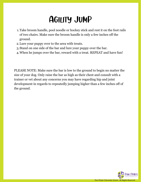### Agility Jump

- Take broom handle, pool noodle or hockey stick and rest it on the foot rails 1. of two chairs. Make sure the broom handle is only a few inches off the ground.
- Lure your puppy over to the area with treats. 2.
- Stand on one side of the bar and lure your puppy over the bar. 3.
- When he jumps over the bar, reward with a treat. REPEAT and have fun! 4.

PLEASE NOTE: Make sure the bar is low to the ground to begin no matter the size of your dog. Only raise the bar as high as their chest and consult with a trainer or vet about any concerns you may have regarding hip and joint development in regards to repeatedly jumping higher than a few inches off of the ground.

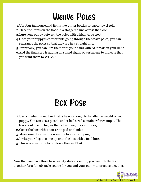# Weave Poles

- Use four tall household items like 2-liter bottles or paper towel rolls 1.
- Place the items on the floor in a staggered line across the floor. 2.
- Lure your puppy between the poles with a high value treat 3.
- Once your puppy is comfortable going through the weave poles, you can 4. rearrange the poles so that they are in a straight line.
- Eventually, you can lure them with your hand with NO treats in your hand. 5.
- And the final step is adding in a hand signal or verbal cue to indicate that 6. you want them to WEAVE.

# Box Pose

- 1. Use a medium sized box that is heavy enough to handle the weight of your puppy. You can use a plastic under bed sized container for example. The box should be no higher than chest height for your dog.
- 2. Cover the box with a soft crate pad or blanket.
- Make sure the covering is secure to avoid slipping. 3.
- 4. Invite your dog to come up onto the box with a food lure.
- 5. This is a great time to reinforce the cue PLACE.

Now that you have three basic agility stations set up, you can link them all together for a fun obstacle course for you and your puppy to practice together.

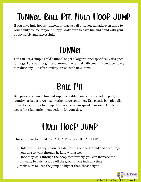# Tunnel, Ball Pit, Hula Hoop Jump

If you have hula hoops, tunnels, or plastic ball pits, you can add even more to your agility course for your puppy. Make sure to have fun and bond with your puppy safely and successfully!

### **TUNNEL**

You can use a simple child's tunnel or get a larger tunnel specifically designed for dogs. Lure your dog in and around the tunnel with treats. Introduce slowly to reduce any FAS (fear anxiety stress) with new items.

# Ball Pit

Ball pits are so much fun and super versatile. You can use a kiddie pool, a laundry basket, a large box or other large container. Use plastic ball pit balls, tennis balls, or toys to fill up the space. You can sprinkle in some kibble or treats for a fun enrichment activity for your dog.

# Hula Hoop Jump

This is similar to the AGILITY JUMP using a HULA HOOP.

- 1. Hold the hula hoop up on its side, resting on the ground and encourage your dog to walk through it. Lure with a treat.
- Once they walk through the hoop comfortably, you can increase the 2. difficulty by raising it up off the ground, one inch at a time.
- Make sure to keep the jump no higher than chest height. 3.

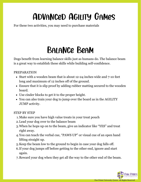# Advanced Agility Games

For these two activities, you may need to purchase materials

### Balance Beam

Dogs benefit from learning balance skills just as humans do. The balance beam is a great way to establish these skills while building self-confidence.

#### PREPARATION

- Start with a wooden beam that is about 12-24 inches wide and 7-10 feet long and maximum of 12 inches off of the ground.
- Ensure that it is slip proof by adding rubber matting secured to the wooden board.
- Use cinder blocks to get it to the proper height.
- You can also train your dog to jump over the board as in the AGILITY JUMP activity.

#### STEP BY STEP

- Make sure you have high value treats in your treat pouch 1.
- Lead your dog over to the balance beam 2.
- When he hops up on to the beam, give an indicator like "YES" and treat 3. right away.
- You can teach the verbal cue, "PAWS UP" or visual cue of an open hand 4. lifting straight up.
- 5. Keep the beam low to the ground to begin in case your dog falls off.
- 6. If your dog jumps off before getting to the other end, ignore and start again.
- 7. Reward your dog when they get all the way to the other end of the beam.